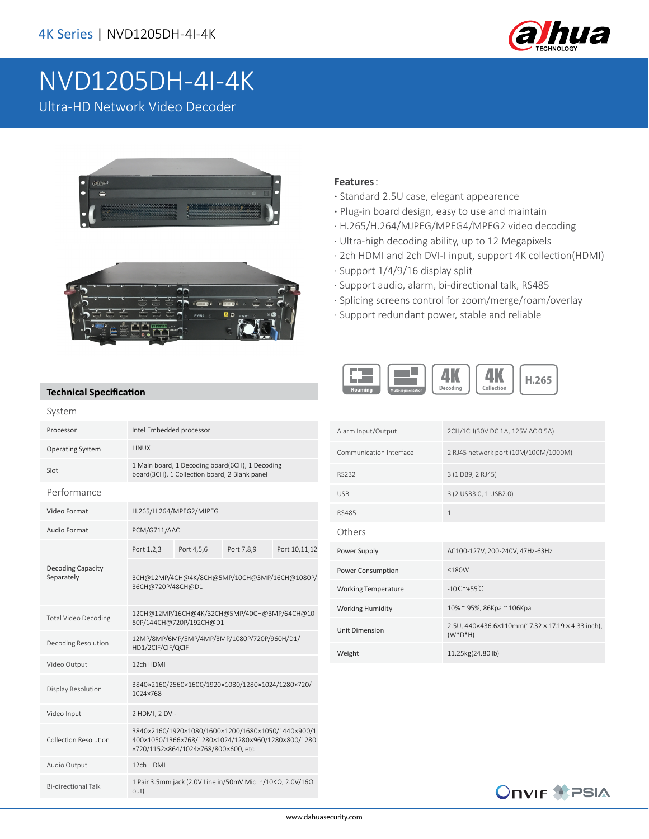

## NVD1205DH-4I-4K

Ultra-HD Network Video Decoder





## **Features**:

- **·** Standard 2.5U case, elegant appearence
- **·** Plug-in board design, easy to use and maintain
- · H.265/H.264/MJPEG/MPEG4/MPEG2 video decoding
- · Ultra-high decoding ability, up to 12 Megapixels
- · 2ch HDMI and 2ch DVI-I input, support 4K collection(HDMI)
- · Support 1/4/9/16 display split
- · Support audio, alarm, bi-directional talk, RS485
- · Splicing screens control for zoom/merge/roam/overlay
- · Support redundant power, stable and reliable



## **Technical Specification**

| System                                 |                                                                                                                                                 |            |            |               |
|----------------------------------------|-------------------------------------------------------------------------------------------------------------------------------------------------|------------|------------|---------------|
| Processor                              | Intel Embedded processor                                                                                                                        |            |            |               |
| <b>Operating System</b>                | <b>I INUX</b>                                                                                                                                   |            |            |               |
| Slot                                   | 1 Main board, 1 Decoding board(6CH), 1 Decoding<br>board(3CH), 1 Collection board, 2 Blank panel                                                |            |            |               |
| Performance                            |                                                                                                                                                 |            |            |               |
| Video Format                           | H.265/H.264/MPEG2/MJPEG                                                                                                                         |            |            |               |
| Audio Format                           | PCM/G711/AAC                                                                                                                                    |            |            |               |
|                                        | Port 1,2,3                                                                                                                                      | Port 4,5,6 | Port 7,8,9 | Port 10,11,12 |
| <b>Decoding Capacity</b><br>Separately | 3CH@12MP/4CH@4K/8CH@5MP/10CH@3MP/16CH@1080P/<br>36CH@720P/48CH@D1                                                                               |            |            |               |
| <b>Total Video Decoding</b>            | 12CH@12MP/16CH@4K/32CH@5MP/40CH@3MP/64CH@10<br>80P/144CH@720P/192CH@D1                                                                          |            |            |               |
| Decoding Resolution                    | 12MP/8MP/6MP/5MP/4MP/3MP/1080P/720P/960H/D1/<br>HD1/2CIF/CIF/QCIF                                                                               |            |            |               |
| Video Output                           | 12ch HDMI                                                                                                                                       |            |            |               |
| Display Resolution                     | 3840×2160/2560×1600/1920×1080/1280×1024/1280×720/<br>1024×768                                                                                   |            |            |               |
| Video Input                            | 2 HDMI, 2 DVI-I                                                                                                                                 |            |            |               |
| Collection Resolution                  | 3840×2160/1920×1080/1600×1200/1680×1050/1440×900/1<br>400×1050/1366×768/1280×1024/1280×960/1280×800/1280<br>x720/1152x864/1024x768/800x600, etc |            |            |               |
| Audio Output                           | 12ch HDMI                                                                                                                                       |            |            |               |
| <b>Bi-directional Talk</b>             | 1 Pair 3.5mm jack (2.0V Line in/50mV Mic in/10ΚΩ, 2.0V/16Ω<br>out)                                                                              |            |            |               |

| Alarm Input/Output         | 2CH/1CH(30V DC 1A, 125V AC 0.5A)                                 |
|----------------------------|------------------------------------------------------------------|
| Communication Interface    | 2 RJ45 network port (10M/100M/1000M)                             |
| RS232                      | 3 (1 DB9, 2 RJ45)                                                |
| <b>USB</b>                 | 3 (2 USB3.0, 1 USB2.0)                                           |
| <b>RS485</b>               | $\mathbf{1}$                                                     |
| Others                     |                                                                  |
| Power Supply               | AC100-127V, 200-240V, 47Hz-63Hz                                  |
| Power Consumption          | $<$ 180W                                                         |
| <b>Working Temperature</b> | $-10^{\circ}$ $C^{\sim}+55^{\circ}$ $C$                          |
| <b>Working Humidity</b>    | 10% ~ 95%, 86Кра ~ 106Кра                                        |
| <b>Unit Dimension</b>      | 2.5U, 440×436.6×110mm(17.32 × 17.19 × 4.33 inch),<br>$(W^*D^*H)$ |
| Weight                     | 11.25kg(24.80 lb)                                                |